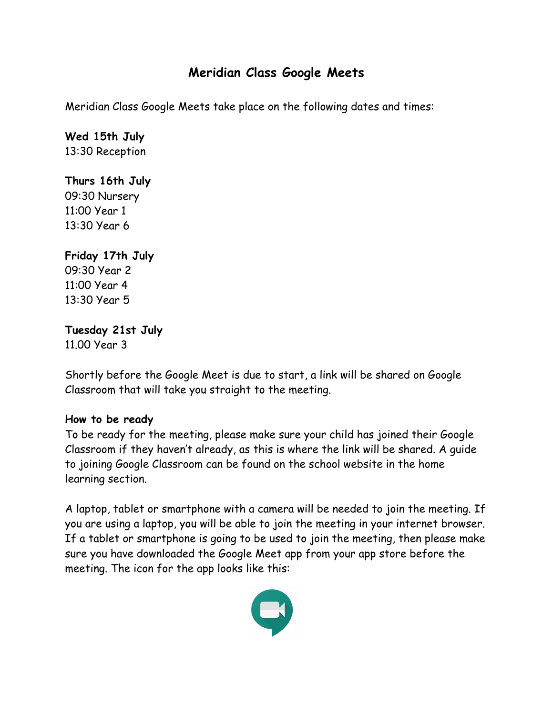### **Meridian Class Google Meets**

Meridian Class Google Meets take place on the following dates and times:

# **Wed 15th July**

13:30 Reception

### **Thurs 16th July**

09:30 Nursery 11:00 Year 1 13:30 Year 6

### **Friday 17th July**

09:30 Year 2 11:00 Year 4 13:30 Year 5

## **Tuesday 21st July**

11.00 Year 3

Shortly before the Google Meet is due to start, a link will be shared on Google Classroom that will take you straight to the meeting.

### **How to be ready**

To be ready for the meeting, please make sure your child has joined their Google Classroom if they haven't already, as this is where the link will be shared. A guide to joining Google Classroom can be found on the school website in the home learning section.

A laptop, tablet or smartphone with a camera will be needed to join the meeting. If you are using a laptop, you will be able to join the meeting in your internet browser. If a tablet or smartphone is going to be used to join the meeting, then please make sure you have downloaded the Google Meet app from your app store before the meeting. The icon for the app looks like this:

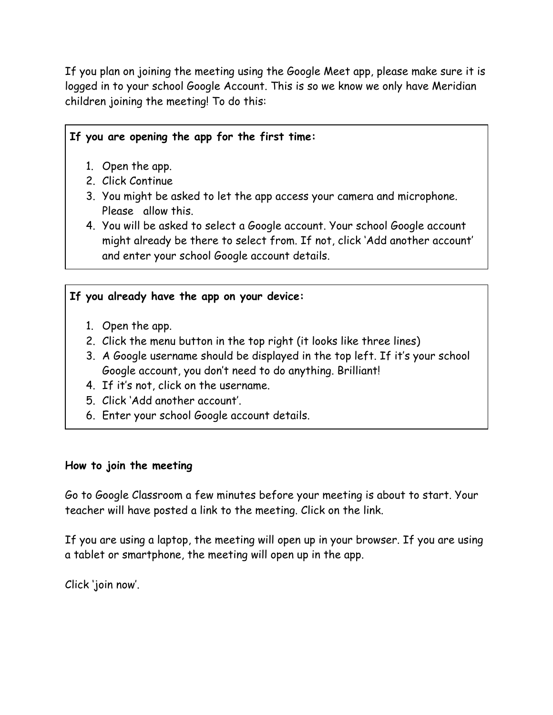If you plan on joining the meeting using the Google Meet app, please make sure it is logged in to your school Google Account. This is so we know we only have Meridian children joining the meeting! To do this:

### **If you are opening the app for the first time:**

- 1. Open the app.
- 2. Click Continue
- 3. You might be asked to let the app access your camera and microphone. Please allow this.
- 4. You will be asked to select a Google account. Your school Google account might already be there to select from. If not, click 'Add another account' and enter your school Google account details.

### **If you already have the app on your device:**

- 1. Open the app.
- 2. Click the menu button in the top right (it looks like three lines)
- 3. A Google username should be displayed in the top left. If it's your school Google account, you don't need to do anything. Brilliant!
- 4. If it's not, click on the username.
- 5. Click 'Add another account'.
- 6. Enter your school Google account details.

#### **How to join the meeting**

Go to Google Classroom a few minutes before your meeting is about to start. Your teacher will have posted a link to the meeting. Click on the link.

If you are using a laptop, the meeting will open up in your browser. If you are using a tablet or smartphone, the meeting will open up in the app.

Click 'join now'.